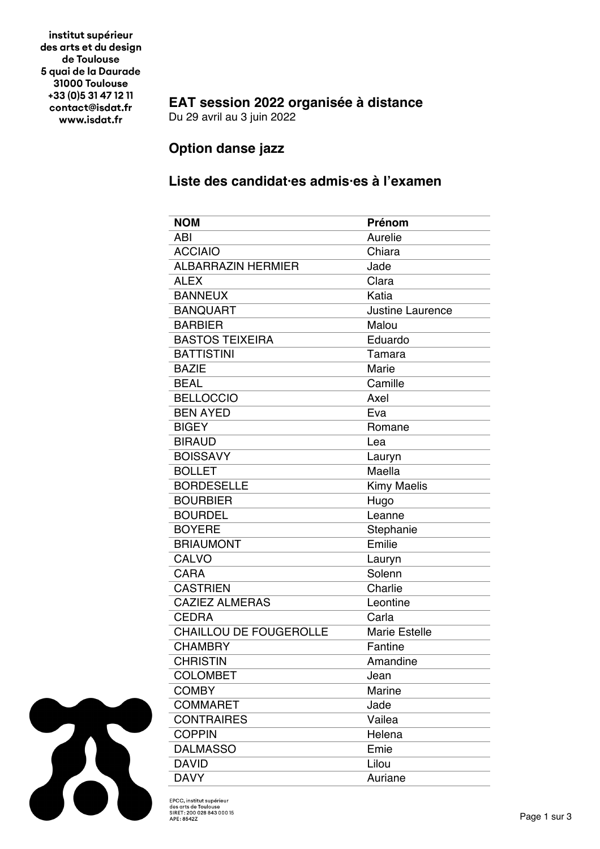institut supérieur des arts et du design de Toulouse 5 quai de la Daurade 31000 Toulouse +33 (0) 5 31 47 12 11 contact@isdat.fr www.isdat.fr

## **EAT session 2022 organisée à distance**

Du 29 avril au 3 juin 2022

## **Option danse jazz**

## **Liste des candidat·es admis·es à l'examen**

| <b>NOM</b>                    | <b>Prénom</b>           |
|-------------------------------|-------------------------|
| ABI                           | Aurelie                 |
| <b>ACCIAIO</b>                | Chiara                  |
| <b>ALBARRAZIN HERMIER</b>     | Jade                    |
| <b>ALEX</b>                   | Clara                   |
| <b>BANNEUX</b>                | Katia                   |
| <b>BANQUART</b>               | <b>Justine Laurence</b> |
| <b>BARBIER</b>                | Malou                   |
| <b>BASTOS TEIXEIRA</b>        | Eduardo                 |
| <b>BATTISTINI</b>             | Tamara                  |
| <b>BAZIE</b>                  | Marie                   |
| <b>BEAL</b>                   | Camille                 |
| <b>BELLOCCIO</b>              | Axel                    |
| <b>BEN AYED</b>               | Eva                     |
| <b>BIGEY</b>                  | Romane                  |
| <b>BIRAUD</b>                 | Lea                     |
| <b>BOISSAVY</b>               | Lauryn                  |
| <b>BOLLET</b>                 | Maella                  |
| <b>BORDESELLE</b>             | <b>Kimy Maelis</b>      |
| <b>BOURBIER</b>               | Hugo                    |
| <b>BOURDEL</b>                | Leanne                  |
| <b>BOYERE</b>                 | Stephanie               |
| <b>BRIAUMONT</b>              | Emilie                  |
| CALVO                         | Lauryn                  |
| <b>CARA</b>                   | Solenn                  |
| <b>CASTRIEN</b>               | Charlie                 |
| <b>CAZIEZ ALMERAS</b>         | Leontine                |
| <b>CEDRA</b>                  | Carla                   |
| <b>CHAILLOU DE FOUGEROLLE</b> | <b>Marie Estelle</b>    |
| <b>CHAMBRY</b>                | Fantine                 |
| <b>CHRISTIN</b>               | Amandine                |
| <b>COLOMBET</b>               | Jean                    |
| <b>COMBY</b>                  | Marine                  |
| <b>COMMARET</b>               | Jade                    |
| <b>CONTRAIRES</b>             | Vailea                  |
| <b>COPPIN</b>                 | Helena                  |
| <b>DALMASSO</b>               | Emie                    |
| <b>DAVID</b>                  | Lilou                   |
| <b>DAVY</b>                   | Auriane                 |



EPCC, institut supérieur<br>des arts de Toulouse<br>SIRET : 200 028 843 000 15<br>APE : 8542Z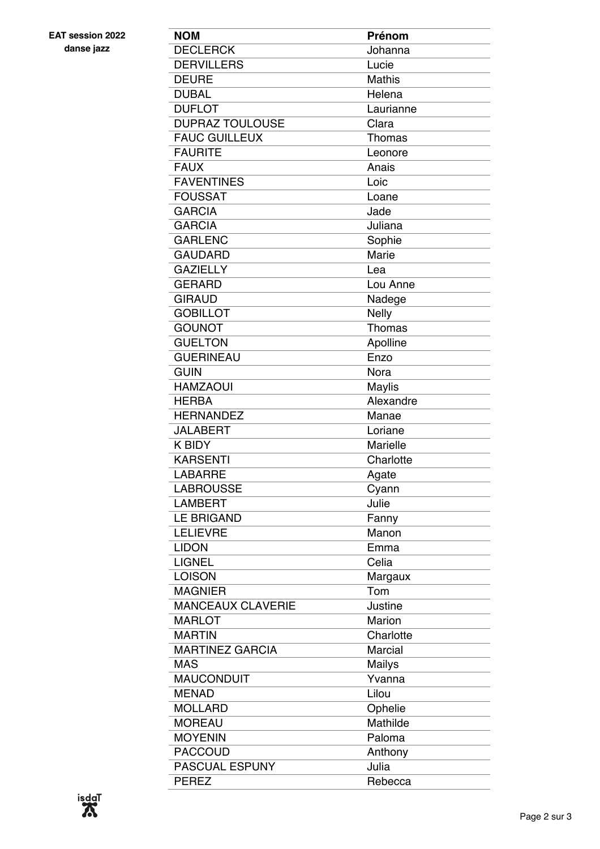**EAT session 2022 danse jazz**

| <b>NOM</b>               | Prénom          |
|--------------------------|-----------------|
| <b>DECLERCK</b>          | Johanna         |
| <b>DERVILLERS</b>        | Lucie           |
| <b>DEURE</b>             | <b>Mathis</b>   |
| <b>DUBAL</b>             | Helena          |
| <b>DUFLOT</b>            | Laurianne       |
| <b>DUPRAZ TOULOUSE</b>   | Clara           |
| <b>FAUC GUILLEUX</b>     | Thomas          |
| <b>FAURITE</b>           | Leonore         |
| <b>FAUX</b>              | Anais           |
| <b>FAVENTINES</b>        | Loic            |
| <b>FOUSSAT</b>           | Loane           |
| <b>GARCIA</b>            | Jade            |
| <b>GARCIA</b>            | Juliana         |
| <b>GARLENC</b>           |                 |
| <b>GAUDARD</b>           | Sophie<br>Marie |
|                          |                 |
| <b>GAZIELLY</b>          | Lea             |
| <b>GERARD</b>            | Lou Anne        |
| <b>GIRAUD</b>            | Nadege          |
| <b>GOBILLOT</b>          | <b>Nelly</b>    |
| <b>GOUNOT</b>            | Thomas          |
| <b>GUELTON</b>           | Apolline        |
| <b>GUERINEAU</b>         | Enzo            |
| <b>GUIN</b>              | Nora            |
| <b>HAMZAOUI</b>          | <b>Maylis</b>   |
| <b>HERBA</b>             | Alexandre       |
| <b>HERNANDEZ</b>         | Manae           |
| <b>JALABERT</b>          | Loriane         |
| <b>K BIDY</b>            | Marielle        |
| <b>KARSENTI</b>          | Charlotte       |
| <b>LABARRE</b>           | Agate           |
| <b>LABROUSSE</b>         | Cyann           |
| <b>LAMBERT</b>           | Julie           |
| <b>LE BRIGAND</b>        | Fanny           |
| <b>LELIEVRE</b>          | Manon           |
| <b>LIDON</b>             | Emma            |
| <b>LIGNEL</b>            | Celia           |
| <b>LOISON</b>            | Margaux         |
| <b>MAGNIER</b>           | Tom             |
| <b>MANCEAUX CLAVERIE</b> | Justine         |
| <b>MARLOT</b>            | Marion          |
| <b>MARTIN</b>            | Charlotte       |
| <b>MARTINEZ GARCIA</b>   | Marcial         |
| <b>MAS</b>               | Mailys          |
| <b>MAUCONDUIT</b>        | Yvanna          |
| <b>MENAD</b>             | Lilou           |
| <b>MOLLARD</b>           | Ophelie         |
| <b>MOREAU</b>            | Mathilde        |
| <b>MOYENIN</b>           | Paloma          |
| <b>PACCOUD</b>           | Anthony         |
| <b>PASCUAL ESPUNY</b>    | Julia           |
| <b>PEREZ</b>             | Rebecca         |
|                          |                 |